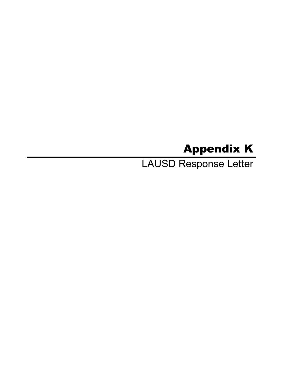# Appendix K

LAUSD Response Letter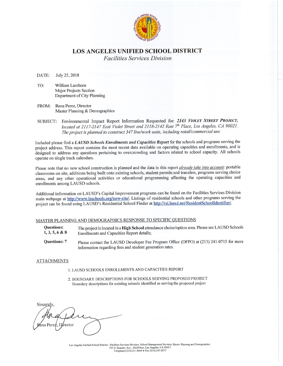

# **LOS ANGELES UNIFIED SCHOOL DISTRICT**

**Facilities Services Division** 

July 25, 2018 DATE:

- TO: William Lamborn Major Projects Section Department of City Planning
- FROM: Rena Perez, Director Master Planning & Demographics
- SUBJECT: Environmental Impact Report Information Requested for: 2143 VIOLET STREET PROJECT, located at 2117-2147 East Violet Street and 2118-2142 East 7<sup>th</sup> Place, Los Angeles, CA 90021. The project is planned to construct 347 live/work units, including retail/commercial use.

Included please find a LAUSD Schools Enrollments and Capacities Report for the schools and programs serving the project address. This report contains the most recent data available on operating capacities and enrollments, and is designed to address any questions pertaining to overcrowding and factors related to school capacity. All schools operate on single track calendars.

Please note that no new school construction is planned and the data in this report *already take into account*: portable classrooms on site, additions being built onto existing schools, student permits and transfers, programs serving choice areas, and any other operational activities or educational programming affecting the operating capacities and enrollments among LAUSD schools.

Additional information on LAUSD's Capital Improvement programs can be found on the Facilities Services Division main webpage at http://www.laschools.org/new-site/. Listings of residential schools and other programs serving the project can be found using LAUSD's Residential School Finder at http://rsi.lausd.net/ResidentSchoolIdentifier/.

# MASTER PLANNING AND DEMOGRAPHICS RESPONSE TO SPECIFIC QUESTIONS

- The project is located in a High School attendance choice/option area. Please see LAUSD Schools **Ouestions:**  $1, 3, 5, 6 & 8$ Enrollments and Capacities Report details;
- Please contact the LAUSD Developer Fee Program Office (DFPO) at (213) 241-0715 for more **Questions: 7** information regarding fees and student generation rates.

#### **ATTACHMENTS**

- 1. LAUSD SCHOOLS ENROLLMENTS AND CAPACITIES REPORT
- 2. BOUNDARY DESCRIPTIONS FOR SCHOOLS SERVING PROPOSED PROJECT Boundary descriptions for existing schools identified as serving the proposed project

Sincerely ≹ena Pere rector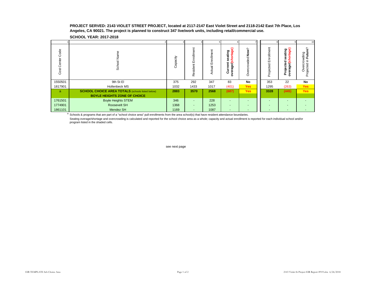#### **PROJECT SERVED: 2143 VIOLET STREET PROJECT, located at 2117-2147 East Violet Street and 2118-2142 East 7th Place, Los Angeles, CA 90021. The project is planned to construct 347 live/work units, including retail/commercial use.**

**SCHOOL YEAR: 2017-2018**

|                     |                                                         |          |                |                       |                                                                                          |                            |                         |                                                                           | 10                                                            |
|---------------------|---------------------------------------------------------|----------|----------------|-----------------------|------------------------------------------------------------------------------------------|----------------------------|-------------------------|---------------------------------------------------------------------------|---------------------------------------------------------------|
| Code<br>Cost Center | Φ<br>Ş<br>ਠ<br>Schoo                                    | Capacity | 띧<br>Resident  | έĭ<br>Ğ<br>ш<br>ctual | ᢛ<br>eating<br>ಠಾ<br>욕<br>$\circ$<br>ū.<br>Current<br>$\frac{1}{9}$<br>ᢐ<br>ō<br>$\circ$ | $\sim$<br>š<br>ರ<br>෪<br>O | Enrollment<br>Projected | ating<br>rtage)<br>۵<br>ō<br>cted<br>—<br>eo<br>-je<br>ā<br>ō<br>ે ઠ<br>≏ | ြစ<br>rding<br>Futur<br>≘.<br>ō<br>Overcr<br>Projected i<br>Ó |
| 1550501             | 9th St El                                               | 375      | 292            | 347                   | 83                                                                                       | No                         | 353                     | 22                                                                        | No                                                            |
| 1817901             | <b>Hollenbeck MS</b>                                    | 1032     | 1433           | 1017                  | (401)                                                                                    | <b>Yes</b>                 | 1295                    | (263)                                                                     | Yes                                                           |
| a.                  | <b>SCHOOL CHOICE AREA TOTALS</b> (schools listed below) | 2883     | 3570           | 2568                  | (687)                                                                                    | <b>Yes</b>                 | 3328                    | (445)                                                                     | <b>Yes</b>                                                    |
|                     | <b>BOYLE HEIGHTS ZONE OF CHOICE</b>                     |          |                |                       |                                                                                          |                            |                         |                                                                           |                                                               |
| 1761501             | <b>Boyle Heights STEM</b>                               | 346      | ٠              | 228                   | $\overline{\phantom{a}}$                                                                 |                            |                         |                                                                           |                                                               |
| 1774901             | Roosevelt SH                                            | 1368     | $\blacksquare$ | 1253                  | $\overline{\phantom{a}}$                                                                 |                            |                         |                                                                           |                                                               |
| 1861101             | Mendez SH                                               | 1169     | ٠              | 1087                  | $\overline{\phantom{a}}$                                                                 |                            |                         |                                                                           |                                                               |

<sup>a</sup> Schools & programs that are part of a "school choice area" pull enrollments from the area school(s) that have resident attendance boundaries.

Seating overage/shortage and overcrowding is calculated and reported for the school choice area as a whole; capacity and actual enrollment is reported for each individual school and/or program listed in the shaded cells.

see next page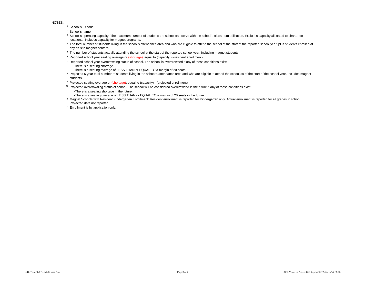NOTES:

<sup>1</sup> School's ID code.

<sup>2</sup> School's name

- 3 School's operating capacity. The maximum number of students the school can serve with the school's classroom utilization. Excludes capacity allocated to charter colocations. Includes capacity for magnet programs.
- 4 The total number of students living in the school's attendance area and who are eligible to attend the school at the start of the reported school year, plus students enrolled at any on-site magnet centers.
- <sup>5</sup> The number of students actually attending the school at the start of the reported school year, including magnet students.
- <sup>6</sup> Reported school year seating overage or (shortage): equal to (capacity) (resident enrollment).
- $7$  Reported school year overcrowding status of school. The school is overcrowded if any of these conditions exist:
	- -There is a seating shortage.
- -There is a seating overage of LESS THAN or EQUAL TO a margin of 20 seats.
- <sup>8</sup> Projected 5-year total number of students living in the school's attendance area and who are eligible to attend the school as of the start of the school year. Includes magnet students.
- <sup>9</sup> Projected seating overage or (shortage): equal to (capacity) (projected enrollment).
- <sup>10</sup> Projected overcrowding status of school. The school will be considered overcrowded in the future if any of these conditions exist: -There is a seating shortage in the future.
	- -There is a seating overage of LESS THAN or EQUAL TO a margin of 20 seats in the future.
- ° Magnet Schools with Resident Kindergarten Enrollment: Resident enrollment is reported for Kindergarten only. Actual enrollment is reported for all grades in school. Projected data not reported.
- \* Enrollment is by application only.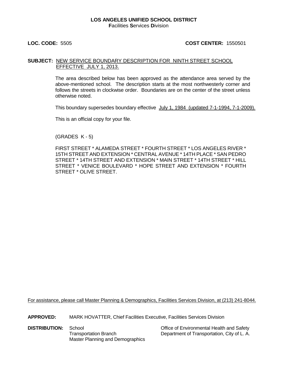### **LOS ANGELES UNIFIED SCHOOL DISTRICT F**acilities **S**ervices **D**ivision

# **LOC. CODE:** 5505 **COST CENTER:** 1550501

# **SUBJECT:** NEW SERVICE BOUNDARY DESCRIPTION FOR NINTH STREET SCHOOL EFFECTIVE JULY 1, 2013.

The area described below has been approved as the attendance area served by the above-mentioned school. The description starts at the most northwesterly corner and follows the streets in clockwise order. Boundaries are on the center of the street unless otherwise noted.

This boundary supersedes boundary effective July 1, 1984 (updated 7-1-1994, 7-1-2009).

This is an official copy for your file.

(GRADES K - 5)

FIRST STREET \* ALAMEDA STREET \* FOURTH STREET \* LOS ANGELES RIVER \* 15TH STREET AND EXTENSION \* CENTRAL AVENUE \* 14TH PLACE \* SAN PEDRO STREET \* 14TH STREET AND EXTENSION \* MAIN STREET \* 14TH STREET \* HILL STREET \* VENICE BOULEVARD \* HOPE STREET AND EXTENSION \* FOURTH STREET \* OLIVE STREET.

For assistance, please call Master Planning & Demographics, Facilities Services Division, at (213) 241-8044.

**APPROVED:** MARK HOVATTER, Chief Facilities Executive, Facilities Services Division

**DISTRIBUTION:** School **Contained Beat Containers Containers Containers Containers Containers Transportation Branch**<br>Transportation Branch **Containers Department of Transportation**. City of L.A. Master Planning and Demographics

Department of Transportation, City of L. A.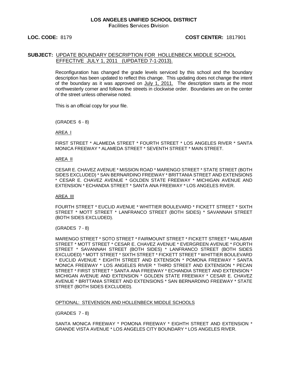### **LOC. CODE:** 8179 **COST CENTER:** 1817901

# **SUBJECT:** UPDATE BOUNDARY DESCRIPTION FOR HOLLENBECK MIDDLE SCHOOL EFFECTIVE JULY 1, 2011 (UPDATED 7-1-2013).

Reconfiguration has changed the grade levels serviced by this school and the boundary description has been updated to reflect this change. This updating does not change the intent of the boundary as it was approved on July 1, 2011. The description starts at the most northwesterly corner and follows the streets in clockwise order. Boundaries are on the center of the street unless otherwise noted.

This is an official copy for your file.

(GRADES 6 - 8)

AREA I

FIRST STREET \* ALAMEDA STREET \* FOURTH STREET \* LOS ANGELES RIVER \* SANTA MONICA FREEWAY \* ALAMEDA STREET \* SEVENTH STREET \* MAIN STREET.

#### AREA II

CESAR E. CHAVEZ AVENUE \* MISSION ROAD \* MARENGO STREET \* STATE STREET (BOTH SIDES EXCLUDED) \* SAN BERNARDINO FREEWAY \* BRITTANIA STREET AND EXTENSIONS \* CESAR E. CHAVEZ AVENUE \* GOLDEN STATE FREEWAY \* MICHIGAN AVENUE AND EXTENSION \* ECHANDIA STREET \* SANTA ANA FREEWAY \* LOS ANGELES RIVER.

#### AREA III

FOURTH STREET \* EUCLID AVENUE \* WHITTIER BOULEVARD \* FICKETT STREET \* SIXTH STREET \* MOTT STREET \* LANFRANCO STREET (BOTH SIDES) \* SAVANNAH STREET (BOTH SIDES EXCLUDED).

(GRADES 7 - 8)

MARENGO STREET \* SOTO STREET \* FAIRMOUNT STREET \* FICKETT STREET \* MALABAR STREET \* MOTT STREET \* CESAR E. CHAVEZ AVENUE \* EVERGREEN AVENUE \* FOURTH STREET \* SAVANNAH STREET (BOTH SIDES) \* LANFRANCO STREET (BOTH SIDES EXCLUDED) \* MOTT STREET \* SIXTH STREET \* FICKETT STREET \* WHITTIER BOULEVARD \* EUCLID AVENUE \* EIGHTH STREET AND EXTENSION \* POMONA FREEWAY \* SANTA MONICA FREEWAY \* LOS ANGELES RIVER \* THIRD STREET AND EXTENSION \* PECAN STREET \* FIRST STREET \* SANTA ANA FREEWAY \* ECHANDIA STREET AND EXTENSION \* MICHIGAN AVENUE AND EXTENSION \* GOLDEN STATE FREEWAY \* CESAR E. CHAVEZ AVENUE \* BRITTANIA STREET AND EXTENSIONS \* SAN BERNARDINO FREEWAY \* STATE STREET (BOTH SIDES EXCLUDED).

#### OPTIONAL: STEVENSON AND HOLLENBECK MIDDLE SCHOOLS

(GRADES 7 - 8)

SANTA MONICA FREEWAY \* POMONA FREEWAY \* EIGHTH STREET AND EXTENSION \* GRANDE VISTA AVENUE \* LOS ANGELES CITY BOUNDARY \* LOS ANGELES RIVER.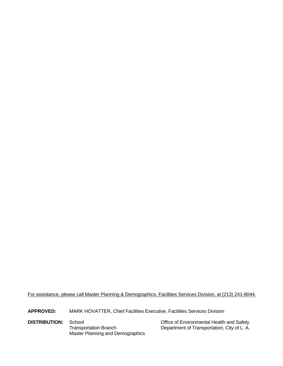For assistance, please call Master Planning & Demographics, Facilities Services Division, at (213) 241-8044.

**APPROVED:** MARK HOVATTER, Chief Facilities Executive, Facilities Services Division

**DISTRIBUTION:** School **Control Control Control Control Control Control Control Control Control Control Control**<br>Transportation Branch **Control Control Control Control Control Control Control Control Control Control Contro** Master Planning and Demographics

Department of Transportation, City of L. A.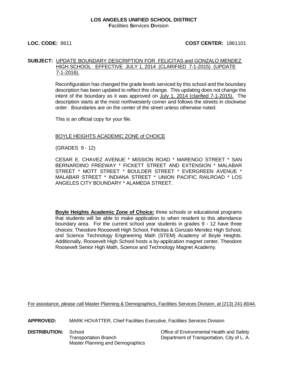### **LOS ANGELES UNIFIED SCHOOL DISTRICT F**acilities **S**ervices **D**ivision

# **LOC. CODE:** 8611 **COST CENTER:** 1861101

# **SUBJECT:** UPDATE BOUNDARY DESCRIPTION FOR FELICITAS and GONZALO MENDEZ HIGH SCHOOL EFFECTIVE JULY 1, 2014 (CLARIFIED 7-1-2015) (UPDATE 7-1-2016).

Reconfiguration has changed the grade levels serviced by this school and the boundary description has been updated to reflect this change. This updating does not change the intent of the boundary as it was approved on July 1, 2014 (clarified 7-1-2015). The description starts at the most northwesterly corner and follows the streets in clockwise order. Boundaries are on the center of the street unless otherwise noted.

This is an official copy for your file.

# BOYLE HEIGHTS ACADEMIC ZONE of CHOICE

(GRADES 9 - 12)

CESAR E. CHAVEZ AVENUE \* MISSION ROAD \* MARENGO STREET \* SAN BERNARDINO FREEWAY \* FICKETT STREET AND EXTENSION \* MALABAR STREET \* MOTT STREET \* BOULDER STREET \* EVERGREEN AVENUE \* MALABAR STREET \* INDIANA STREET \* UNION PACIFIC RAILROAD \* LOS ANGELES CITY BOUNDARY \* ALAMEDA STREET.

**Boyle Heights Academic Zone of Choice:** three schools or educational programs that students will be able to make application to when resident to this attendance boundary area. For the current school year students in grades 9 - 12 have three choices: Theodore Roosevelt High School, Felicitas & Gonzalo Mendez High School, and Science Technology Engineering Math (STEM) Academy of Boyle Heights. Additionally, Roosevelt High School hosts a by-application magnet center, Theodore Roosevelt Senior High Math, Science and Technology Magnet Academy.

For assistance, please call Master Planning & Demographics, Facilities Services Division, at (213) 241-8044.

**APPROVED:** MARK HOVATTER, Chief Facilities Executive, Facilities Services Division

Master Planning and Demographics

**DISTRIBUTION:** School **Contact School** Cffice of Environmental Health and Safety Transportation Branch Department of Transportation, City of L. A.